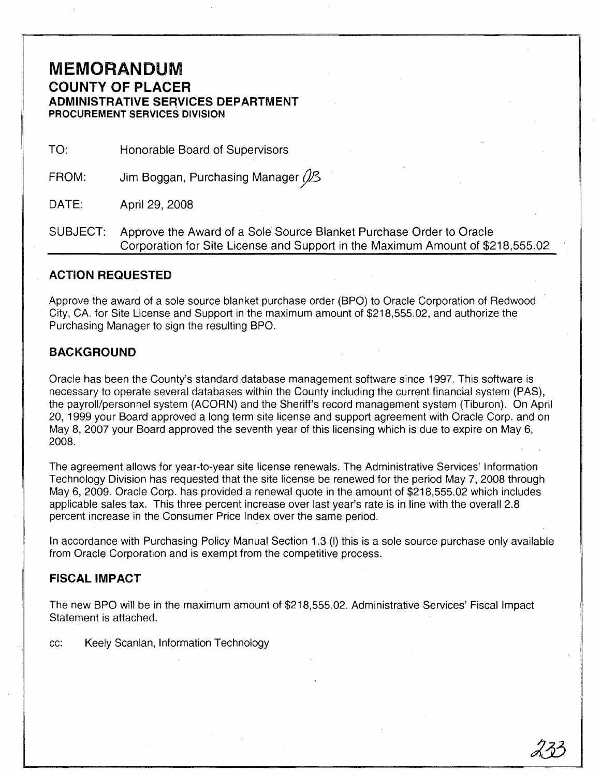# **MEMORANDUM COUNTY OF PLACER ADMINISTRATIVE SERVICES DEPARTMENT PROCUREMENT SERVICES DIVISION**

TO: Honorable Board of Supervisors

FROM: Jim Boggan, Purchasing Manager (*J/3* 

DATE: April 29, 2008

SUBJECT: Approve the Award of a Sole Source Blanket Purchase Order to Oracle Corporation for Site License and Support in the Maximum Amount of \$218,555.02

### **ACTION REQUESTED**

Approve the award of a sole source blanket purchase order (BPO) to Oracle Corporation of Redwood City, CA. for Site License and Support in the maximum amount of \$218,555.02, and authorize the Purchasing Manager to sign the resulting BPO.

## **BACKGROUND**

Oracle has been the County's standard database management software since 1997. This software is necessary to operate several databases within the County including the current financial system (PAS), the payroll/personnel system (ACORN) and the Sheriff's record management system (Tiburon). On April 20, 1999 your Board approved a long term site license and support agreement with Oracle Corp. and on May 8, 2007 your Board approved the seventh year of this licensing which is due to expire on May 6, 2008.

The agreement allows for year-to-year site license renewals. The Administrative Services' Information Technology Division has requested that the site license be renewed for the period May 7,2008 through May 6, 2009. Oracle Corp. has provided a renewal quote in the amount of \$218,555.02 which includes applicable sales tax. This three percent increase over last year's rate is in line with the overall 2.8 percent increase in the Consumer Price Index over the same period.

In accordance with Purchasing Policy Manual Section 1.3 (I) this is a sole source purchase only available from Oracle Corporation and is exempt from the competitive process.

### FISCAL IMPACT

The new BPO will be in the maximum amount of \$218,555.02. Administrative Services' Fiscal Impact Statement is attached.

cc: Keely Scanlan, Information Technology